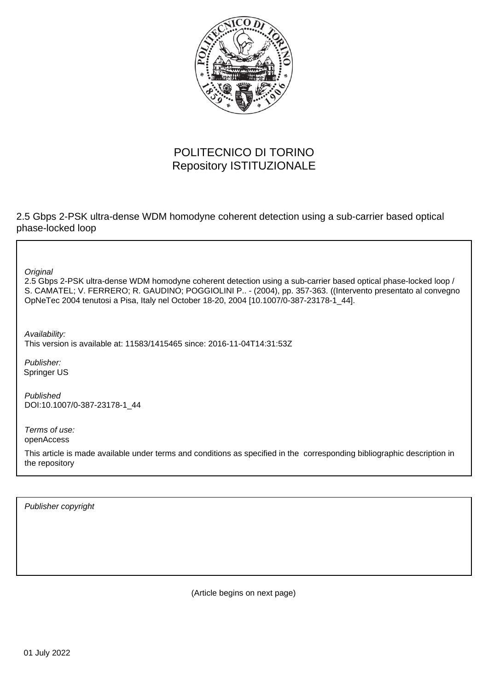

# POLITECNICO DI TORINO Repository ISTITUZIONALE

2.5 Gbps 2-PSK ultra-dense WDM homodyne coherent detection using a sub-carrier based optical phase-locked loop

**Original** 

2.5 Gbps 2-PSK ultra-dense WDM homodyne coherent detection using a sub-carrier based optical phase-locked loop / S. CAMATEL; V. FERRERO; R. GAUDINO; POGGIOLINI P.. - (2004), pp. 357-363. ((Intervento presentato al convegno OpNeTec 2004 tenutosi a Pisa, Italy nel October 18-20, 2004 [10.1007/0-387-23178-1\_44].

Availability: This version is available at: 11583/1415465 since: 2016-11-04T14:31:53Z

Publisher: Springer US

Published DOI:10.1007/0-387-23178-1\_44

Terms of use: openAccess

This article is made available under terms and conditions as specified in the corresponding bibliographic description in the repository

Publisher copyright

(Article begins on next page)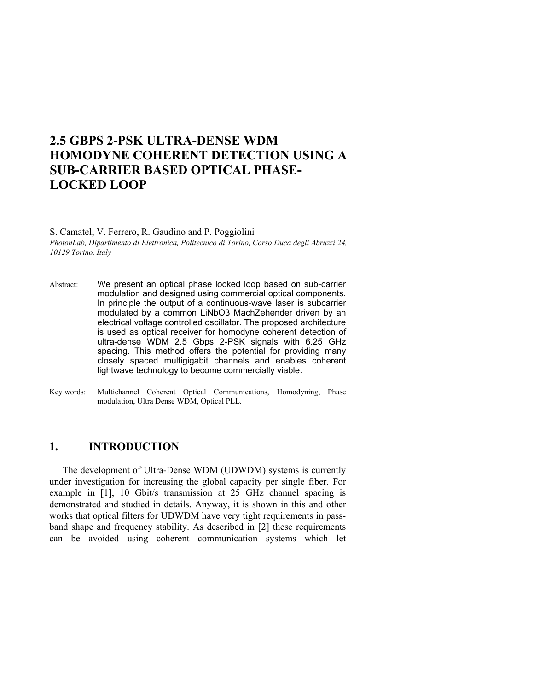# **2.5 GBPS 2-PSK ULTRA-DENSE WDM HOMODYNE COHERENT DETECTION USING A SUB-CARRIER BASED OPTICAL PHASE-LOCKED LOOP**

S. Camatel, V. Ferrero, R. Gaudino and P. Poggiolini *PhotonLab, Dipartimento di Elettronica, Politecnico di Torino, Corso Duca degli Abruzzi 24, 10129 Torino, Italy* 

- Abstract: We present an optical phase locked loop based on sub-carrier modulation and designed using commercial optical components. In principle the output of a continuous-wave laser is subcarrier modulated by a common LiNbO3 MachZehender driven by an electrical voltage controlled oscillator. The proposed architecture is used as optical receiver for homodyne coherent detection of ultra-dense WDM 2.5 Gbps 2-PSK signals with 6.25 GHz spacing. This method offers the potential for providing many closely spaced multigigabit channels and enables coherent lightwave technology to become commercially viable.
- Key words: Multichannel Coherent Optical Communications, Homodyning, Phase modulation, Ultra Dense WDM, Optical PLL.

# **1. INTRODUCTION**

The development of Ultra-Dense WDM (UDWDM) systems is currently under investigation for increasing the global capacity per single fiber. For example in [1], 10 Gbit/s transmission at 25 GHz channel spacing is demonstrated and studied in details. Anyway, it is shown in this and other works that optical filters for UDWDM have very tight requirements in passband shape and frequency stability. As described in [2] these requirements can be avoided using coherent communication systems which let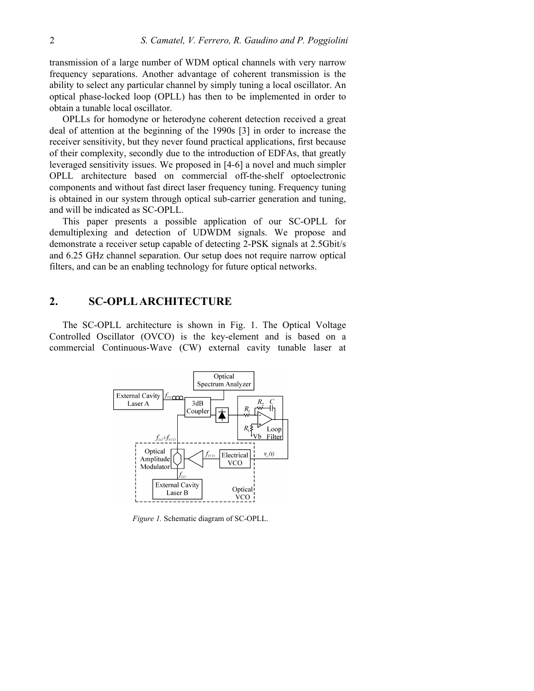transmission of a large number of WDM optical channels with very narrow frequency separations. Another advantage of coherent transmission is the ability to select any particular channel by simply tuning a local oscillator. An optical phase-locked loop (OPLL) has then to be implemented in order to obtain a tunable local oscillator.

OPLLs for homodyne or heterodyne coherent detection received a great deal of attention at the beginning of the 1990s [3] in order to increase the receiver sensitivity, but they never found practical applications, first because of their complexity, secondly due to the introduction of EDFAs, that greatly leveraged sensitivity issues. We proposed in [4-6] a novel and much simpler OPLL architecture based on commercial off-the-shelf optoelectronic components and without fast direct laser frequency tuning. Frequency tuning is obtained in our system through optical sub-carrier generation and tuning, and will be indicated as SC-OPLL.

This paper presents a possible application of our SC-OPLL for demultiplexing and detection of UDWDM signals. We propose and demonstrate a receiver setup capable of detecting 2-PSK signals at 2.5Gbit/s and 6.25 GHz channel separation. Our setup does not require narrow optical filters, and can be an enabling technology for future optical networks.

# **2. SC-OPLL ARCHITECTURE**

The SC-OPLL architecture is shown in Fig. 1. The Optical Voltage Controlled Oscillator (OVCO) is the key-element and is based on a commercial Continuous-Wave (CW) external cavity tunable laser at



*Figure 1.* Schematic diagram of SC-OPLL.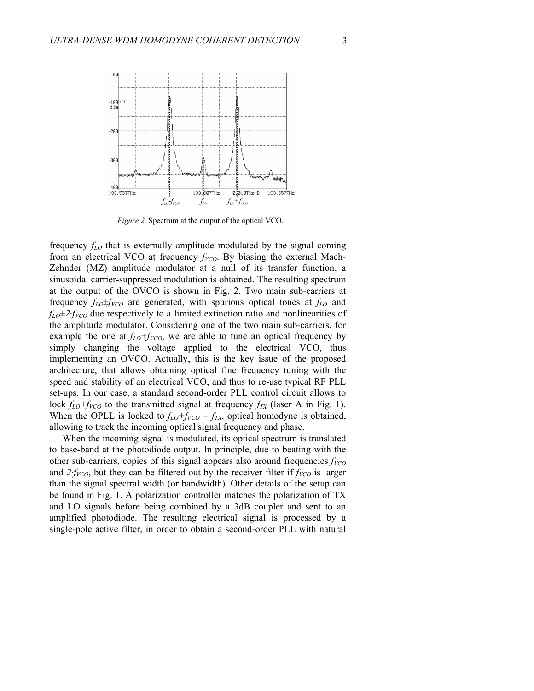

*Figure 2.* Spectrum at the output of the optical VCO.

frequency *fLO* that is externally amplitude modulated by the signal coming from an electrical VCO at frequency  $f_{VCO}$ . By biasing the external Mach-Zehnder (MZ) amplitude modulator at a null of its transfer function, a sinusoidal carrier-suppressed modulation is obtained. The resulting spectrum at the output of the OVCO is shown in Fig. 2. Two main sub-carriers at frequency  $f_{LO} \neq f_{VCO}$  are generated, with spurious optical tones at  $f_{LO}$  and  $f_{LO} \pm 2$ :  $f_{VCO}$  due respectively to a limited extinction ratio and nonlinearities of the amplitude modulator. Considering one of the two main sub-carriers, for example the one at  $f_{LO}+f_{VCO}$ , we are able to tune an optical frequency by simply changing the voltage applied to the electrical VCO, thus implementing an OVCO. Actually, this is the key issue of the proposed architecture, that allows obtaining optical fine frequency tuning with the speed and stability of an electrical VCO, and thus to re-use typical RF PLL set-ups. In our case, a standard second-order PLL control circuit allows to lock  $f_{LO}+f_{VCO}$  to the transmitted signal at frequency  $f_{TX}$  (laser A in Fig. 1). When the OPLL is locked to  $f_{LO} + f_{VCO} = f_{TX}$ , optical homodyne is obtained, allowing to track the incoming optical signal frequency and phase.

When the incoming signal is modulated, its optical spectrum is translated to base-band at the photodiode output. In principle, due to beating with the other sub-carriers, copies of this signal appears also around frequencies  $f_{VCO}$ and  $2f_{VCO}$ , but they can be filtered out by the receiver filter if  $f_{VCO}$  is larger than the signal spectral width (or bandwidth). Other details of the setup can be found in Fig. 1. A polarization controller matches the polarization of TX and LO signals before being combined by a 3dB coupler and sent to an amplified photodiode. The resulting electrical signal is processed by a single-pole active filter, in order to obtain a second-order PLL with natural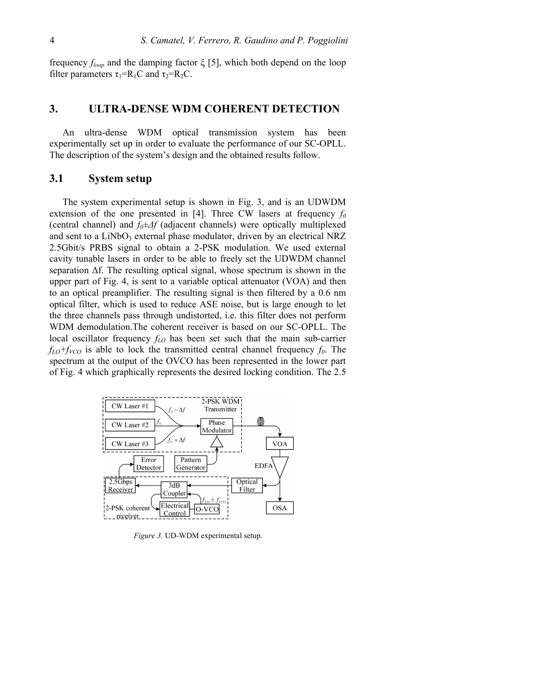frequency *floop* and the damping factor ξ [5], which both depend on the loop filter parameters  $\tau_1=R_1C$  and  $\tau_2=R_2C$ .

#### **3. ULTRA-DENSE WDM COHERENT DETECTION**

An ultra-dense WDM optical transmission system has been experimentally set up in order to evaluate the performance of our SC-OPLL. The description of the system's design and the obtained results follow.

#### **3.1 System setup**

The system experimental setup is shown in Fig. 3, and is an UDWDM extension of the one presented in [4]. Three CW lasers at frequency  $f_0$ (central channel) and *f0±∆f* (adjacent channels) were optically multiplexed and sent to a  $LiNbO<sub>3</sub>$  external phase modulator, driven by an electrical NRZ 2.5Gbit/s PRBS signal to obtain a 2-PSK modulation. We used external cavity tunable lasers in order to be able to freely set the UDWDM channel separation ∆f. The resulting optical signal, whose spectrum is shown in the upper part of Fig. 4, is sent to a variable optical attenuator (VOA) and then to an optical preamplifier. The resulting signal is then filtered by a 0.6 nm optical filter, which is used to reduce ASE noise, but is large enough to let the three channels pass through undistorted, i.e. this filter does not perform WDM demodulation.The coherent receiver is based on our SC-OPLL. The local oscillator frequency *fLO* has been set such that the main sub-carrier  $f_{LO}+f_{VCO}$  is able to lock the transmitted central channel frequency  $f_0$ . The spectrum at the output of the OVCO has been represented in the lower part of Fig. 4 which graphically represents the desired locking condition. The 2.5



*Figure 3.* UD-WDM experimental setup.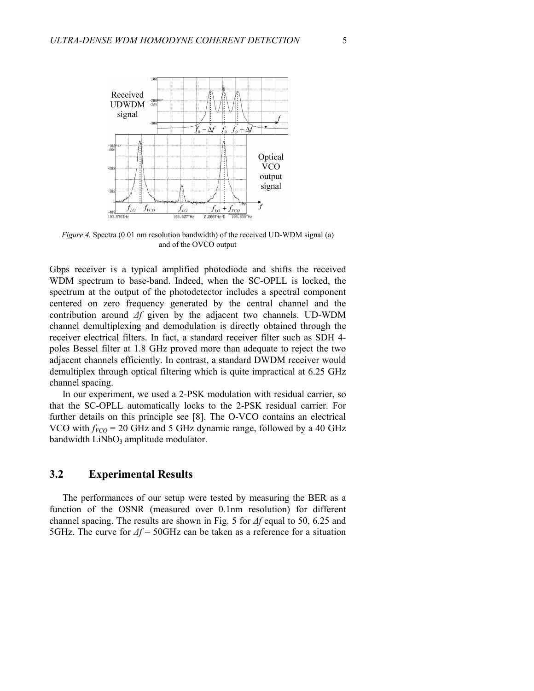

*Figure 4.* Spectra (0.01 nm resolution bandwidth) of the received UD-WDM signal (a) and of the OVCO output

Gbps receiver is a typical amplified photodiode and shifts the received WDM spectrum to base-band. Indeed, when the SC-OPLL is locked, the spectrum at the output of the photodetector includes a spectral component centered on zero frequency generated by the central channel and the contribution around *∆f* given by the adjacent two channels. UD-WDM channel demultiplexing and demodulation is directly obtained through the receiver electrical filters. In fact, a standard receiver filter such as SDH 4 poles Bessel filter at 1.8 GHz proved more than adequate to reject the two adjacent channels efficiently. In contrast, a standard DWDM receiver would demultiplex through optical filtering which is quite impractical at 6.25 GHz channel spacing.

In our experiment, we used a 2-PSK modulation with residual carrier, so that the SC-OPLL automatically locks to the 2-PSK residual carrier. For further details on this principle see [8]. The O-VCO contains an electrical VCO with  $f_{VCO}$  = 20 GHz and 5 GHz dynamic range, followed by a 40 GHz bandwidth  $LiNbO<sub>3</sub>$  amplitude modulator.

## **3.2 Experimental Results**

The performances of our setup were tested by measuring the BER as a function of the OSNR (measured over 0.1nm resolution) for different channel spacing. The results are shown in Fig. 5 for *∆f* equal to 50, 6.25 and 5GHz. The curve for *∆f* = 50GHz can be taken as a reference for a situation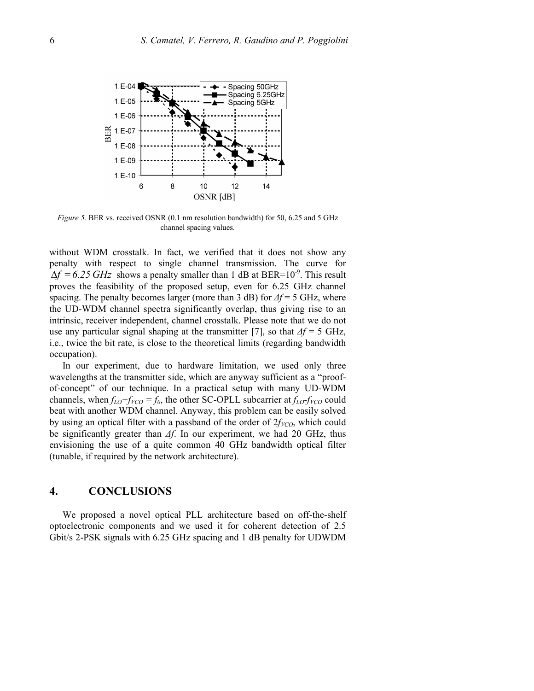

*Figure 5.* BER vs. received OSNR  $(0.1 \text{ nm}$  resolution bandwidth) for 50, 6.25 and 5 GHz channel spacing values.

without WDM crosstalk. In fact, we verified that it does not show any penalty with respect to single channel transmission. The curve for  $\Delta f = 6.25 \text{ GHz}$  shows a penalty smaller than 1 dB at BER=10<sup>-9</sup>. This result proves the feasibility of the proposed setup, even for 6.25 GHz channel spacing. The penalty becomes larger (more than 3 dB) for *∆f* = 5 GHz, where the UD-WDM channel spectra significantly overlap, thus giving rise to an intrinsic, receiver independent, channel crosstalk. Please note that we do not use any particular signal shaping at the transmitter [7], so that *∆f* = 5 GHz, i.e., twice the bit rate, is close to the theoretical limits (regarding bandwidth occupation).

In our experiment, due to hardware limitation, we used only three wavelengths at the transmitter side, which are anyway sufficient as a "proofof-concept" of our technique. In a practical setup with many UD-WDM channels, when  $f_{LO}+f_{VCO} = f_0$ , the other SC-OPLL subcarrier at  $f_{LO}+f_{VCO}$  could beat with another WDM channel. Anyway, this problem can be easily solved by using an optical filter with a passband of the order of  $2f_{VCO}$ , which could be significantly greater than *∆f*. In our experiment, we had 20 GHz, thus envisioning the use of a quite common 40 GHz bandwidth optical filter (tunable, if required by the network architecture).

#### **4. CONCLUSIONS**

We proposed a novel optical PLL architecture based on off-the-shelf optoelectronic components and we used it for coherent detection of 2.5 Gbit/s 2-PSK signals with 6.25 GHz spacing and 1 dB penalty for UDWDM